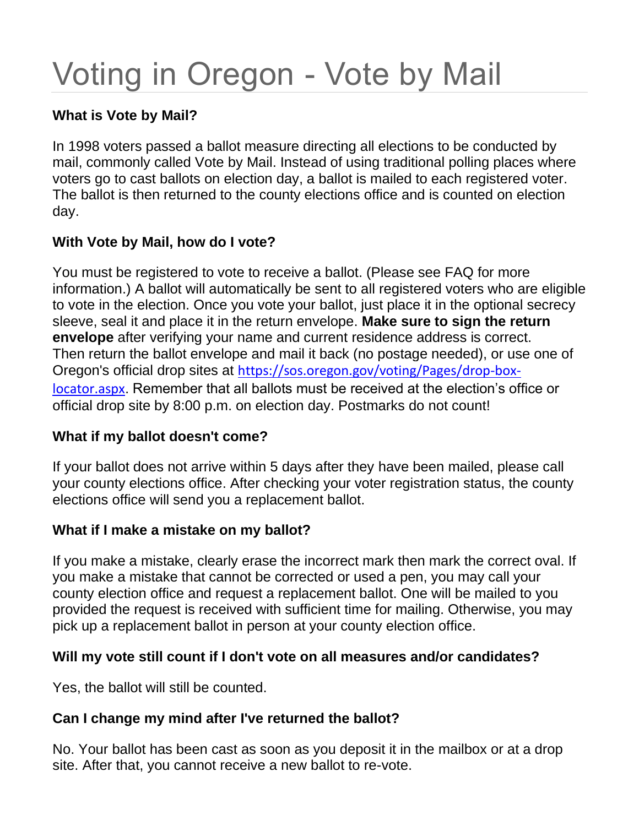# Voting in Oregon - Vote by Mail

# **What is Vote by Mail?**

In 1998 voters passed a ballot measure directing all elections to be conducted by mail, commonly called Vote by Mail. Instead of using traditional polling places where voters go to cast ballots on election day, a ballot is mailed to each registered voter. The ballot is then returned to the county elections office and is counted on election day.

# **With Vote by Mail, how do I vote?**

You must be registered to vote to receive a ballot. (Please see FAQ for more information.) A ballot will automatically be sent to all registered voters who are eligible to vote in the election. Once you vote your ballot, just place it in the optional secrecy sleeve, seal it and place it in the return envelope. **Make sure to sign the return envelope** after verifying your name and current residence address is correct. Then return the ballot envelope and mail it back (no postage needed), or use one of Oregon's official drop sites at [https://sos.oregon.gov/voting/Pages/drop-box](https://sos.oregon.gov/voting/Pages/drop-box-locator.aspx)[locator.aspx](https://sos.oregon.gov/voting/Pages/drop-box-locator.aspx). Remember that all ballots must be received at the election's office or official drop site by 8:00 p.m. on election day. Postmarks do not count!

#### **What if my ballot doesn't come?**

If your ballot does not arrive within 5 days after they have been mailed, please call your county elections office. After checking your voter registration status, the county elections office will send you a replacement ballot.

# **What if I make a mistake on my ballot?**

If you make a mistake, clearly erase the incorrect mark then mark the correct oval. If you make a mistake that cannot be corrected or used a pen, you may call your county election office and request a replacement ballot. One will be mailed to you provided the request is received with sufficient time for mailing. Otherwise, you may pick up a replacement ballot in person at your county election office.

# **Will my vote still count if I don't vote on all measures and/or candidates?**

Yes, the ballot will still be counted.

# **Can I change my mind after I've returned the ballot?**

No. Your ballot has been cast as soon as you deposit it in the mailbox or at a drop site. After that, you cannot receive a new ballot to re-vote.